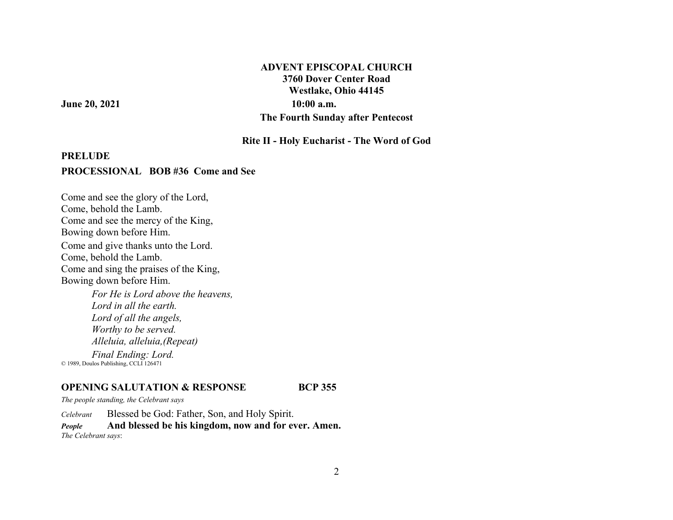# **ADVENT EPISCOPAL CHURCH 3760 Dover Center Road Westlake, Ohio 44145 June 20, 2021** 10:00 a.m. **The Fourth Sunday after Pentecost**

**Rite II - Holy Eucharist - The Word of God** 

### **PRELUDE**

#### **PROCESSIONAL BOB #36 Come and See**

Come and see the glory of the Lord, Come, behold the Lamb. Come and see the mercy of the King, Bowing down before Him. Come and give thanks unto the Lord. Come, behold the Lamb. Come and sing the praises of the King, Bowing down before Him. *For He is Lord above the heavens, Lord in all the earth. Lord of all the angels, Worthy to be served. Alleluia, alleluia,(Repeat)*

*Final Ending: Lord.*  © 1989, Doulos Publishing, CCLI 126471

#### **OPENING SALUTATION & RESPONSE**

*The people standing, the Celebrant says* 

*Celebrant*Blessed be God: Father, Son, and Holy Spirit.

*People* **And blessed be his kingdom, now and for ever. Amen.** *The Celebrant says*:

**BCP 355**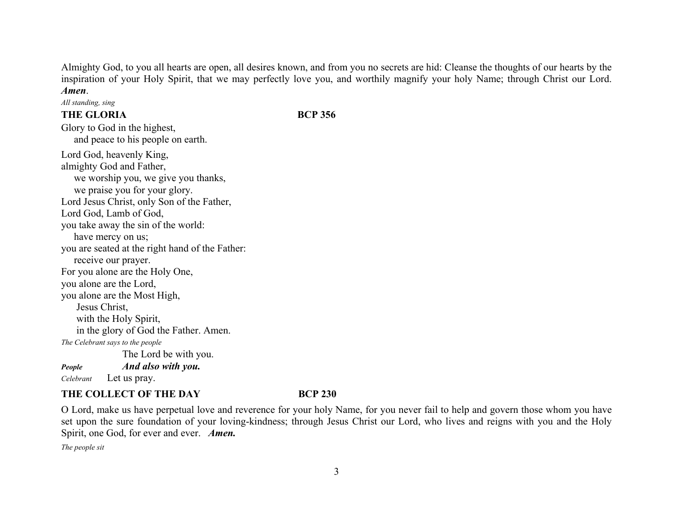Almighty God, to you all hearts are open, all desires known, and from you no secrets are hid: Cleanse the thoughts of our hearts by the inspiration of your Holy Spirit, that we may perfectly love you, and worthily magnify your holy Name; through Christ our Lord. *Amen*.

*All standing, sing*

# **THE GLORIA**

**BCP 356**

Glory to God in the highest, and peace to his people on earth. Lord God, heavenly King, almighty God and Father, we worship you, we give you thanks, we praise you for your glory. Lord Jesus Christ, only Son of the Father, Lord God, Lamb of God, you take away the sin of the world: have mercy on us; you are seated at the right hand of the Father: receive our prayer. For you alone are the Holy One, you alone are the Lord, you alone are the Most High, Jesus Christ, with the Holy Spirit, in the glory of God the Father. Amen. *The Celebrant says to the people*  The Lord be with you. *People And also with you. Celebrant* Let us pray.

# **THE COLLECT OF THE DAY**

### **BCP 230**

O Lord, make us have perpetual love and reverence for your holy Name, for you never fail to help and govern those whom you have set upon the sure foundation of your loving-kindness; through Jesus Christ our Lord, who lives and reigns with you and the Holy Spirit, one God, for ever and ever. *Amen.*

*The people sit*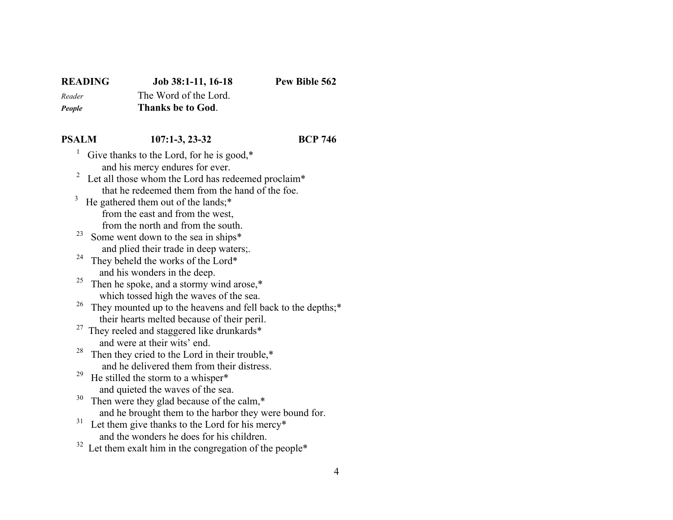# **READING Job 38:1-11, 16-18 Pew Bible 562** *Reader* The Word of the Lord.

*People* **Thanks be to God**.

# **PSALM 107:1-3, 23-32 BCP 746**

- <sup>1</sup> Give thanks to the Lord, for he is good, $*$ and his mercy endures for ever.
- $2 \text{ Let all those whom the Lord has redeemed proclaim*}$ that he redeemed them from the hand of the foe.
- $3$  He gathered them out of the lands;\* from the east and from the west, from the north and from the south.
	- <sup>23</sup> Some went down to the sea in ships\* and plied their trade in deep waters;.<br><sup>24</sup> They beheld the works of the Lord\*
	- They beheld the works of the Lord\* and his wonders in the deep.<br> $\frac{25}{100}$  Then he englise and a starmy  $y$
	- Then he spoke, and a stormy wind arose,\* which tossed high the waves of the sea.<br><sup>26</sup> They mounted up to the heavens and fell
	- They mounted up to the heavens and fell back to the depths;\* their hearts melted because of their peril.
	- <sup>27</sup> They reeled and staggered like drunkards\* and were at their wits' end.
	- <sup>28</sup> Then they cried to the Lord in their trouble, $*$ and he delivered them from their distress.
	- <sup>29</sup> He stilled the storm to a whisper\*
	- and quieted the waves of the sea.<br> $30$  Then were they also because of the Then were they glad because of the calm, $*$ and he brought them to the harbor they were bound for.
	- $31$  Let them give thanks to the Lord for his mercy\* and the wonders he does for his children.
	- $32$  Let them exalt him in the congregation of the people\*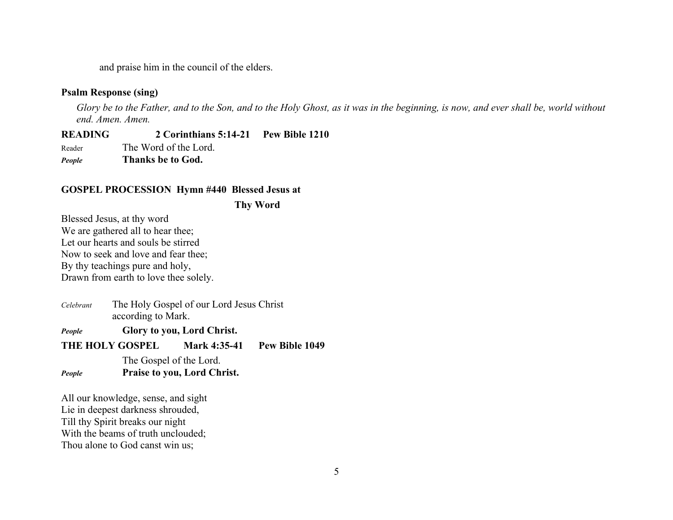and praise him in the council of the elders.

### **Psalm Response (sing)**

*Glory be to the Father, and to the Son, and to the Holy Ghost, as it was in the beginning, is now, and ever shall be, world without end. Amen. Amen.* 

**READING 2 Corinthians 5:14-21 Pew Bible 1210** Reader The Word of the Lord.

*People* **Thanks be to God.** 

#### **GOSPEL PROCESSION Hymn #440 Blessed Jesus at**

 **Thy Word** 

Blessed Jesus, at thy word We are gathered all to hear thee; Let our hearts and souls be stirred Now to seek and love and fear thee; By thy teachings pure and holy, Drawn from earth to love thee solely.

*Celebrant* The Holy Gospel of our Lord Jesus Christ according to Mark.

*People* **Glory to you, Lord Christ.**

**THE HOLY GOSPEL Mark 4:35-41 Pew Bible 1049** 

The Gospel of the Lord. *People* **Praise to you, Lord Christ.** 

All our knowledge, sense, and sight Lie in deepest darkness shrouded, Till thy Spirit breaks our night With the beams of truth unclouded; Thou alone to God canst win us;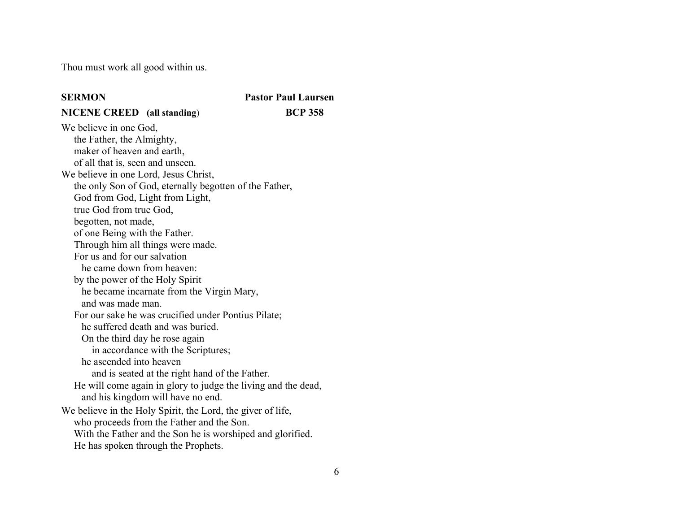Thou must work all good within us.

#### **SERMON**

 **Pastor Paul Laursen NICENE CREED (all standing**) **BCP 358**

We believe in one God, the Father, the Almighty, maker of heaven and earth, of all that is, seen and unseen. We believe in one Lord, Jesus Christ, the only Son of God, eternally begotten of the Father, God from God, Light from Light, true God from true God, begotten, not made, of one Being with the Father. Through him all things were made. For us and for our salvation he came down from heaven: by the power of the Holy Spirit he became incarnate from the Virgin Mary, and was made man. For our sake he was crucified under Pontius Pilate; he suffered death and was buried. On the third day he rose again in accordance with the Scriptures; he ascended into heaven and is seated at the right hand of the Father. He will come again in glory to judge the living and the dead, and his kingdom will have no end. We believe in the Holy Spirit, the Lord, the giver of life, who proceeds from the Father and the Son. With the Father and the Son he is worshiped and glorified. He has spoken through the Prophets.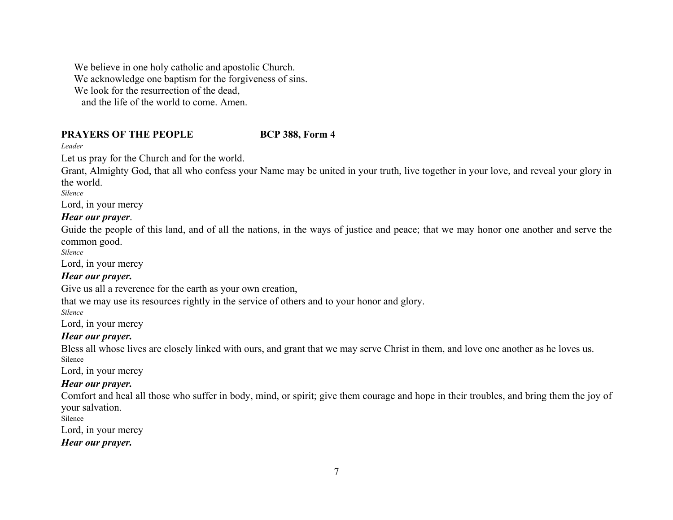We believe in one holy catholic and apostolic Church. We acknowledge one baptism for the forgiveness of sins. We look for the resurrection of the dead, and the life of the world to come. Amen.

### **PRAYERS OF THE PEOPLE**

# **BCP 388, Form 4**

*Leader* 

Let us pray for the Church and for the world.

Grant, Almighty God, that all who confess your Name may be united in your truth, live together in your love, and reveal your glory in the world.

*Silence* 

Lord, in your mercy

# *Hear our prayer*.

Guide the people of this land, and of all the nations, in the ways of justice and peace; that we may honor one another and serve the common good.

*Silence* 

Lord, in your mercy

# *Hear our prayer.*

Give us all a reverence for the earth as your own creation,

that we may use its resources rightly in the service of others and to your honor and glory.

*Silence* 

Lord, in your mercy

# *Hear our prayer.*

Bless all whose lives are closely linked with ours, and grant that we may serve Christ in them, and love one another as he loves us. Silence

Lord, in your mercy

# *Hear our prayer.*

Comfort and heal all those who suffer in body, mind, or spirit; give them courage and hope in their troubles, and bring them the joy of your salvation.

Silence

Lord, in your mercy

# *Hear our prayer.*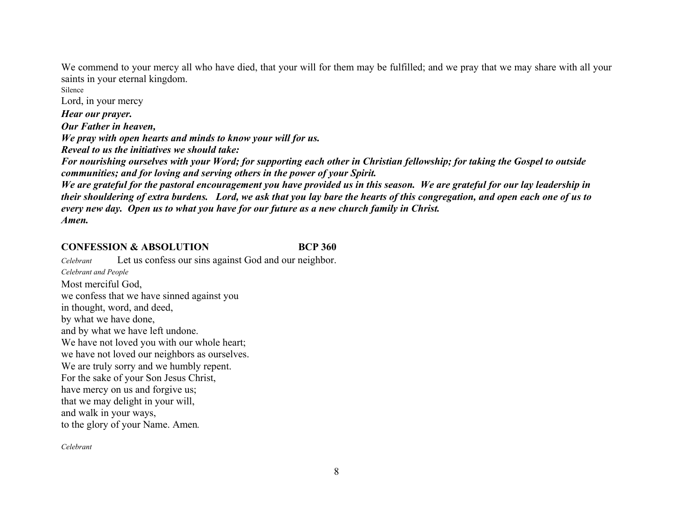We commend to your mercy all who have died, that your will for them may be fulfilled; and we pray that we may share with all your saints in your eternal kingdom.

Lord, in your mercy *Hear our prayer. Our Father in heaven, We pray with open hearts and minds to know your will for us. Reveal to us the initiatives we should take: For nourishing ourselves with your Word; for supporting each other in Christian fellowship; for taking the Gospel to outside communities; and for loving and serving others in the power of your Spirit. We are grateful for the pastoral encouragement you have provided us in this season. We are grateful for our lay leadership in* 

*their shouldering of extra burdens. Lord, we ask that you lay bare the hearts of this congregation, and open each one of us to every new day. Open us to what you have for our future as a new church family in Christ. Amen.* 

# **CONFESSION & ABSOLUTION BCP 360**

*Celebrant* Let us confess our sins against God and our neighbor. *Celebrant and People* Most merciful God, we confess that we have sinned against you in thought, word, and deed, by what we have done, and by what we have left undone. We have not loved you with our whole heart; we have not loved our neighbors as ourselves. We are truly sorry and we humbly repent. For the sake of your Son Jesus Christ, have mercy on us and forgive us; that we may delight in your will, and walk in your ways, to the glory of your Name. Amen*.*

*Celebrant*

Silence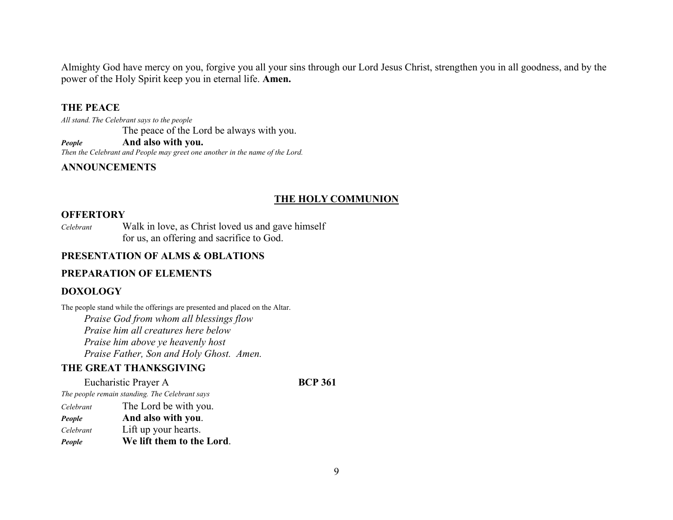Almighty God have mercy on you, forgive you all your sins through our Lord Jesus Christ, strengthen you in all goodness, and by the power of the Holy Spirit keep you in eternal life. **Amen.**

# **THE PEACE**

*All stand. The Celebrant says to the people* The peace of the Lord be always with you. *People* **And also with you.**

*Then the Celebrant and People may greet one another in the name of the Lord.* 

# **ANNOUNCEMENTS**

# **THE HOLY COMMUNION**

#### **OFFERTORY**

*Celebrant* Walk in love, as Christ loved us and gave himself for us, an offering and sacrifice to God.

#### **PRESENTATION OF ALMS & OBLATIONS**

### **PREPARATION OF ELEMENTS**

# **DOXOLOGY**

The people stand while the offerings are presented and placed on the Altar.

 *Praise God from whom all blessings flow Praise him all creatures here below Praise him above ye heavenly host Praise Father, Son and Holy Ghost. Amen.* 

# **THE GREAT THANKSGIVING**

Eucharistic Prayer A **BCP 361** *The people remain standing. The Celebrant says Celebrant* The Lord be with you. *People* **And also with you**. *Celebrant* Lift up your hearts. *People* **We lift them to the Lord**.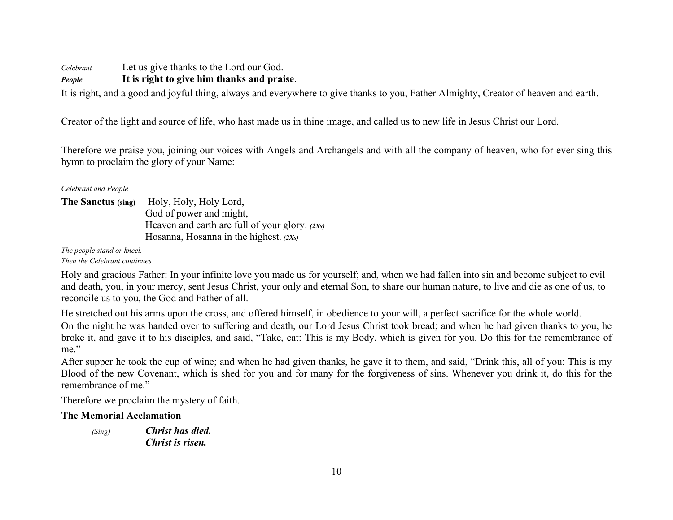*Celebrant* Let us give thanks to the Lord our God.

# *People* **It is right to give him thanks and praise**.

It is right, and a good and joyful thing, always and everywhere to give thanks to you, Father Almighty, Creator of heaven and earth.

Creator of the light and source of life, who hast made us in thine image, and called us to new life in Jesus Christ our Lord.

Therefore we praise you, joining our voices with Angels and Archangels and with all the company of heaven, who for ever sing this hymn to proclaim the glory of your Name:

*Celebrant and People* 

The Sanctus (sing) Holy, Holy, Holy Lord, God of power and might, Heaven and earth are full of your glory. *(2Xs)*  Hosanna, Hosanna in the highest. *(2Xs)*

*The people stand or kneel.* 

*Then the Celebrant continues* 

Holy and gracious Father: In your infinite love you made us for yourself; and, when we had fallen into sin and become subject to evil and death, you, in your mercy, sent Jesus Christ, your only and eternal Son, to share our human nature, to live and die as one of us, to reconcile us to you, the God and Father of all.

He stretched out his arms upon the cross, and offered himself, in obedience to your will, a perfect sacrifice for the whole world.

On the night he was handed over to suffering and death, our Lord Jesus Christ took bread; and when he had given thanks to you, he broke it, and gave it to his disciples, and said, "Take, eat: This is my Body, which is given for you. Do this for the remembrance of me."

After supper he took the cup of wine; and when he had given thanks, he gave it to them, and said, "Drink this, all of you: This is my Blood of the new Covenant, which is shed for you and for many for the forgiveness of sins. Whenever you drink it, do this for the remembrance of me."

Therefore we proclaim the mystery of faith.

# **The Memorial Acclamation**

*(Sing) Christ has died. Christ is risen.*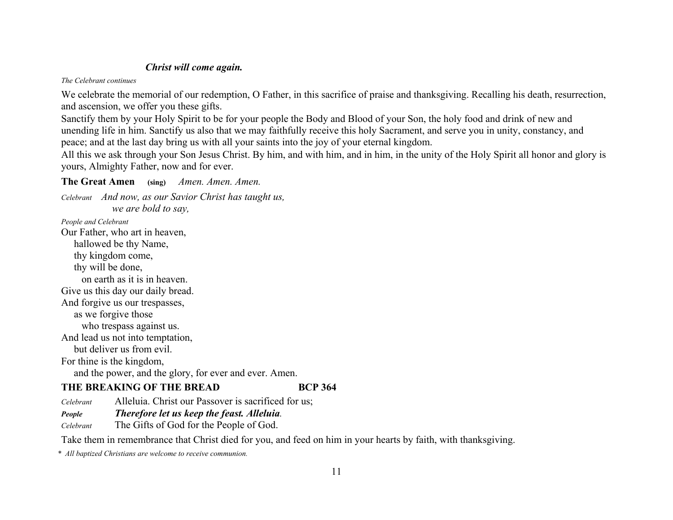# *Christ will come again.*

*The Celebrant continues* 

We celebrate the memorial of our redemption, O Father, in this sacrifice of praise and thanksgiving. Recalling his death, resurrection, and ascension, we offer you these gifts.

Sanctify them by your Holy Spirit to be for your people the Body and Blood of your Son, the holy food and drink of new and unending life in him. Sanctify us also that we may faithfully receive this holy Sacrament, and serve you in unity, constancy, and peace; and at the last day bring us with all your saints into the joy of your eternal kingdom.

All this we ask through your Son Jesus Christ. By him, and with him, and in him, in the unity of the Holy Spirit all honor and glory is yours, Almighty Father, now and for ever.

# **The Great Amen (sing)** *Amen. Amen. Amen.*

*Celebrant And now, as our Savior Christ has taught us, we are bold to say,* 

*People and Celebrant* 

Our Father, who art in heaven, hallowed be thy Name,

 thy kingdom come, thy will be done,

on earth as it is in heaven.

Give us this day our daily bread.

And forgive us our trespasses,

as we forgive those

who trespass against us.

And lead us not into temptation,

but deliver us from evil.

For thine is the kingdom,

and the power, and the glory, for ever and ever. Amen.

# **THE BREAKING OF THE BREAD**

**BCP 364** 

*Celebrant*Alleluia. Christ our Passover is sacrificed for us;

*People Therefore let us keep the feast. Alleluia.*

*Celebrant*The Gifts of God for the People of God.

Take them in remembrance that Christ died for you, and feed on him in your hearts by faith, with thanksgiving.

*\* All baptized Christians are welcome to receive communion.*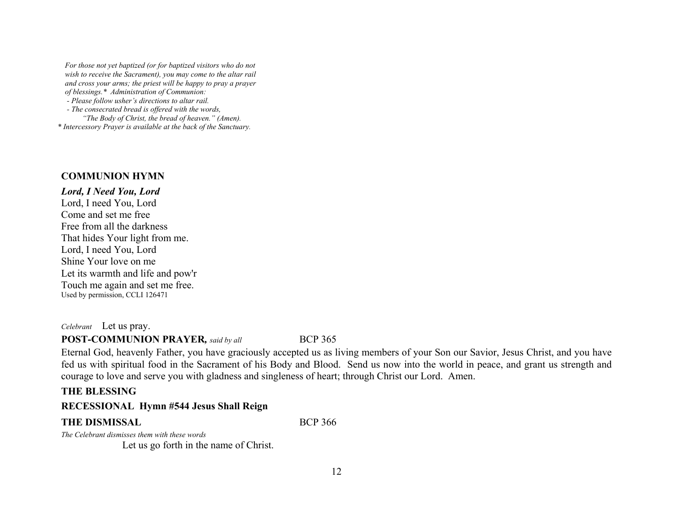*For those not yet baptized (or for baptized visitors who do not wish to receive the Sacrament), you may come to the altar rail and cross your arms; the priest will be happy to pray a prayer of blessings.\* Administration of Communion:* 

 *- Please follow usher's directions to altar rail.* 

 *- The consecrated bread is offered with the words,* 

 *"The Body of Christ, the bread of heaven." (Amen).* 

*\* Intercessory Prayer is available at the back of the Sanctuary.* 

#### **COMMUNION HYMN**

*Lord, I Need You, Lord*  Lord, I need You, Lord Come and set me free Free from all the darkness That hides Your light from me. Lord, I need You, Lord Shine Your love on me Let its warmth and life and pow'r Touch me again and set me free. Used by permission, CCLI 126471

*Celebrant* Let us pray.

#### **POST-COMMUNION PRAYER***, said by all* BCP 365

Eternal God, heavenly Father, you have graciously accepted us as living members of your Son our Savior, Jesus Christ, and you have fed us with spiritual food in the Sacrament of his Body and Blood. Send us now into the world in peace, and grant us strength and courage to love and serve you with gladness and singleness of heart; through Christ our Lord. Amen.

# **THE BLESSING**

### **RECESSIONAL Hymn #544 Jesus Shall Reign**

#### **THE DISMISSAL** BCP 366

*The Celebrant dismisses them with these words* 

Let us go forth in the name of Christ.